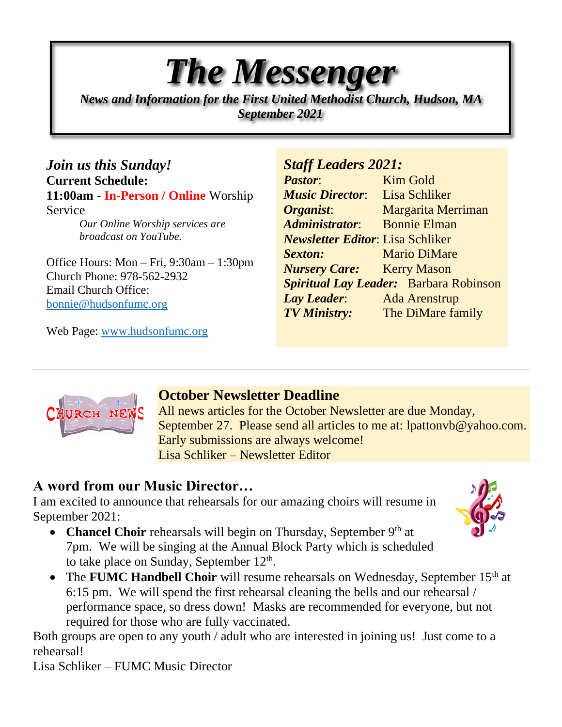# *The Messenger*

*News and Information for the First United Methodist Church, Hudson, MA September 2021*

*Join us this Sunday!* **Current Schedule: 11:00am** - **In-Person / Online** Worship Service *Our Online Worship services are broadcast on YouTube.*

Office Hours: Mon – Fri, 9:30am – 1:30pm Church Phone: 978-562-2932 Email Church Office: [bonnie@hudsonfumc.org](mailto:bonnie@hudsonfumc.org)

Web Page: [www.hudsonfumc.org](http://www.hudsonfumc.org/)

#### *Staff Leaders 2021:*

**Pastor:** Kim Gold *Music Director*: Lisa Schliker *Organist***:** Margarita Merriman *Administrator*: Bonnie Elman *Newsletter Editor*: Lisa Schliker *Sexton:* Mario DiMare *Nursery Care:* Kerry Mason *Spiritual Lay Leader:* Barbara Robinson *Lay Leader*: Ada Arenstrup *TV Ministry:* The DiMare family



## **October Newsletter Deadline**

All news articles for the October Newsletter are due Monday, September 27. Please send all articles to me at: lpattonyb@yahoo.com. Early submissions are always welcome! Lisa Schliker – Newsletter Editor

# **A word from our Music Director…**

I am excited to announce that rehearsals for our amazing choirs will resume in September 2021:

- **Chancel Choir** rehearsals will begin on Thursday, September 9<sup>th</sup> at 7pm. We will be singing at the Annual Block Party which is scheduled to take place on Sunday, September  $12<sup>th</sup>$ .
- The **FUMC Handbell Choir** will resume rehearsals on Wednesday, September 15<sup>th</sup> at 6:15 pm. We will spend the first rehearsal cleaning the bells and our rehearsal / performance space, so dress down! Masks are recommended for everyone, but not required for those who are fully vaccinated.

Both groups are open to any youth / adult who are interested in joining us! Just come to a rehearsal!

Lisa Schliker – FUMC Music Director

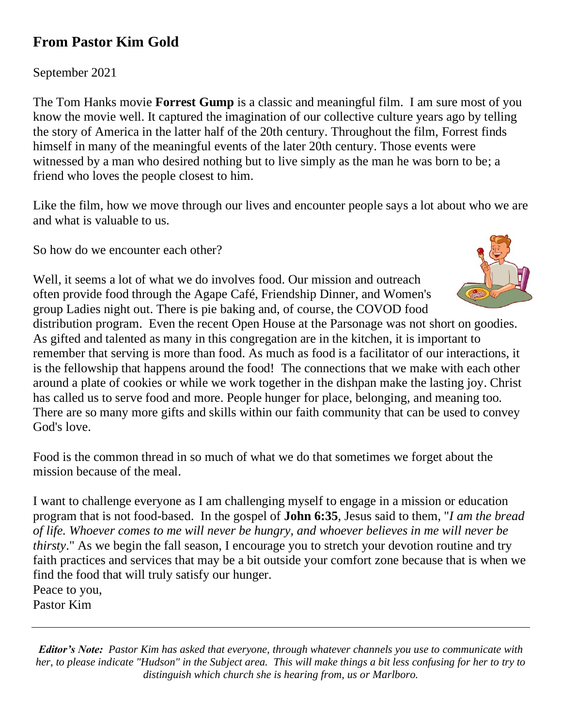## **From Pastor Kim Gold**

September 2021

The Tom Hanks movie **Forrest Gump** is a classic and meaningful film. I am sure most of you know the movie well. It captured the imagination of our collective culture years ago by telling the story of America in the latter half of the 20th century. Throughout the film, Forrest finds himself in many of the meaningful events of the later 20th century. Those events were witnessed by a man who desired nothing but to live simply as the man he was born to be; a friend who loves the people closest to him.

Like the film, how we move through our lives and encounter people says a lot about who we are and what is valuable to us.

So how do we encounter each other?

Well, it seems a lot of what we do involves food. Our mission and outreach often provide food through the Agape Café, Friendship Dinner, and Women's group Ladies night out. There is pie baking and, of course, the COVOD food



distribution program. Even the recent Open House at the Parsonage was not short on goodies. As gifted and talented as many in this congregation are in the kitchen, it is important to remember that serving is more than food. As much as food is a facilitator of our interactions, it is the fellowship that happens around the food! The connections that we make with each other around a plate of cookies or while we work together in the dishpan make the lasting joy. Christ has called us to serve food and more. People hunger for place, belonging, and meaning too. There are so many more gifts and skills within our faith community that can be used to convey God's love.

Food is the common thread in so much of what we do that sometimes we forget about the mission because of the meal.

I want to challenge everyone as I am challenging myself to engage in a mission or education program that is not food-based. In the gospel of **John 6:35**, Jesus said to them, "*I am the bread of life. Whoever comes to me will never be hungry, and whoever believes in me will never be thirsty*." As we begin the fall season, I encourage you to stretch your devotion routine and try faith practices and services that may be a bit outside your comfort zone because that is when we find the food that will truly satisfy our hunger. Peace to you,

Pastor Kim

*Editor's Note: Pastor Kim has asked that everyone, through whatever channels you use to communicate with her, to please indicate "Hudson" in the Subject area. This will make things a bit less confusing for her to try to distinguish which church she is hearing from, us or Marlboro.*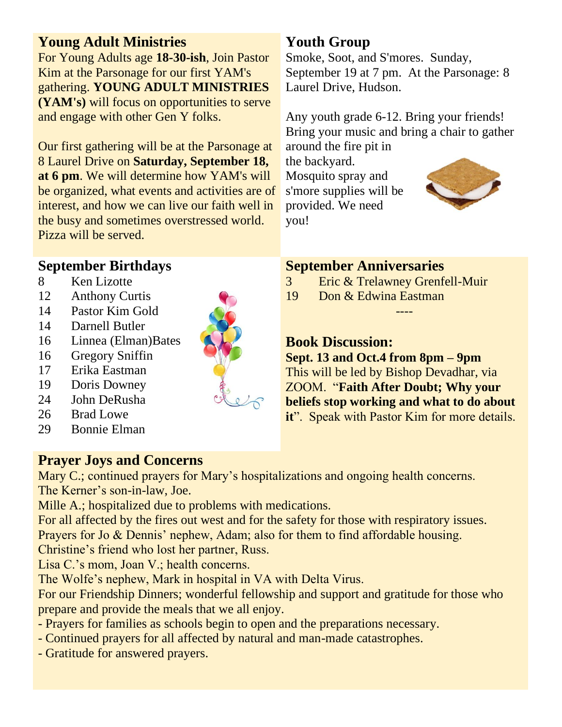#### **Young Adult Ministries**

For Young Adults age **18-30-ish**, Join Pastor Kim at the Parsonage for our first YAM's gathering. **YOUNG ADULT MINISTRIES (YAM's)** will focus on opportunities to serve and engage with other Gen Y folks.

Our first gathering will be at the Parsonage at 8 Laurel Drive on **Saturday, September 18, at 6 pm**. We will determine how YAM's will be organized, what events and activities are of interest, and how we can live our faith well in the busy and sometimes overstressed world. Pizza will be served.

### **September Birthdays**

- 8 Ken Lizotte
- 12 Anthony Curtis
- 14 Pastor Kim Gold
- 14 Darnell Butler
- 16 Linnea (Elman)Bates
- 16 Gregory Sniffin
- 17 Erika Eastman
- 19 Doris Downey
- 24 John DeRusha
- 26 Brad Lowe
- 29 Bonnie Elman

## **Prayer Joys and Concerns**

Mary C.; continued prayers for Mary's hospitalizations and ongoing health concerns. The Kerner's son-in-law, Joe.

Mille A.; hospitalized due to problems with medications.

For all affected by the fires out west and for the safety for those with respiratory issues.

Prayers for Jo & Dennis' nephew, Adam; also for them to find affordable housing.

Christine's friend who lost her partner, Russ.

Lisa C.'s mom, Joan V.; health concerns.

The Wolfe's nephew, Mark in hospital in VA with Delta Virus.

For our Friendship Dinners; wonderful fellowship and support and gratitude for those who prepare and provide the meals that we all enjoy.

- Prayers for families as schools begin to open and the preparations necessary.
- Continued prayers for all affected by natural and man-made catastrophes.
- Gratitude for answered prayers.

# **Youth Group**

Smoke, Soot, and S'mores. Sunday, September 19 at 7 pm. At the Parsonage: 8 Laurel Drive, Hudson.

Any youth grade 6-12. Bring your friends! Bring your music and bring a chair to gather

around the fire pit in the backyard. Mosquito spray and s'more supplies will be provided. We need you!



#### **September Anniversaries**

- 3 Eric & Trelawney Grenfell-Muir
- 19 Don & Edwina Eastman

**Book Discussion:**

**Sept. 13 and Oct.4 from 8pm – 9pm**  This will be led by Bishop Devadhar, via ZOOM. "**Faith After Doubt; Why your beliefs stop working and what to do about it**". Speak with Pastor Kim for more details.

----

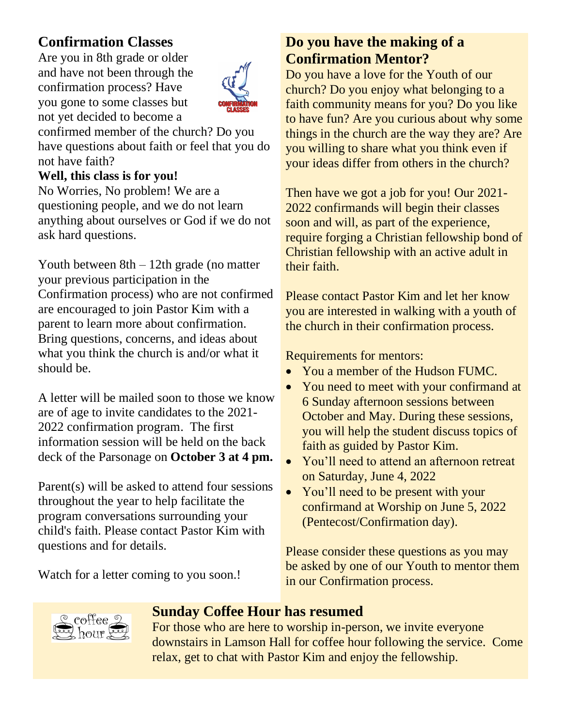## **Confirmation Classes**

Are you in 8th grade or older and have not been through the confirmation process? Have you gone to some classes but not yet decided to become a



confirmed member of the church? Do you have questions about faith or feel that you do not have faith?

#### **Well, this class is for you!**

No Worries, No problem! We are a questioning people, and we do not learn anything about ourselves or God if we do not ask hard questions.

Youth between 8th – 12th grade (no matter your previous participation in the Confirmation process) who are not confirmed are encouraged to join Pastor Kim with a parent to learn more about confirmation. Bring questions, concerns, and ideas about what you think the church is and/or what it should be.

A letter will be mailed soon to those we know are of age to invite candidates to the 2021- 2022 confirmation program. The first information session will be held on the back deck of the Parsonage on **October 3 at 4 pm.**

Parent(s) will be asked to attend four sessions throughout the year to help facilitate the program conversations surrounding your child's faith. Please contact Pastor Kim with questions and for details.

Watch for a letter coming to you soon.!

## **Do you have the making of a Confirmation Mentor?**

Do you have a love for the Youth of our church? Do you enjoy what belonging to a faith community means for you? Do you like to have fun? Are you curious about why some things in the church are the way they are? Are you willing to share what you think even if your ideas differ from others in the church?

Then have we got a job for you! Our 2021- 2022 confirmands will begin their classes soon and will, as part of the experience, require forging a Christian fellowship bond of Christian fellowship with an active adult in their faith.

Please contact Pastor Kim and let her know you are interested in walking with a youth of the church in their confirmation process.

Requirements for mentors:

- You a member of the Hudson FUMC.
- You need to meet with your confirmand at 6 Sunday afternoon sessions between October and May. During these sessions, you will help the student discuss topics of faith as guided by Pastor Kim.
- You'll need to attend an afternoon retreat on Saturday, June 4, 2022
- You'll need to be present with your confirmand at Worship on June 5, 2022 (Pentecost/Confirmation day).

Please consider these questions as you may be asked by one of our Youth to mentor them in our Confirmation process.



#### **Sunday Coffee Hour has resumed**

For those who are here to worship in-person, we invite everyone downstairs in Lamson Hall for coffee hour following the service. Come relax, get to chat with Pastor Kim and enjoy the fellowship.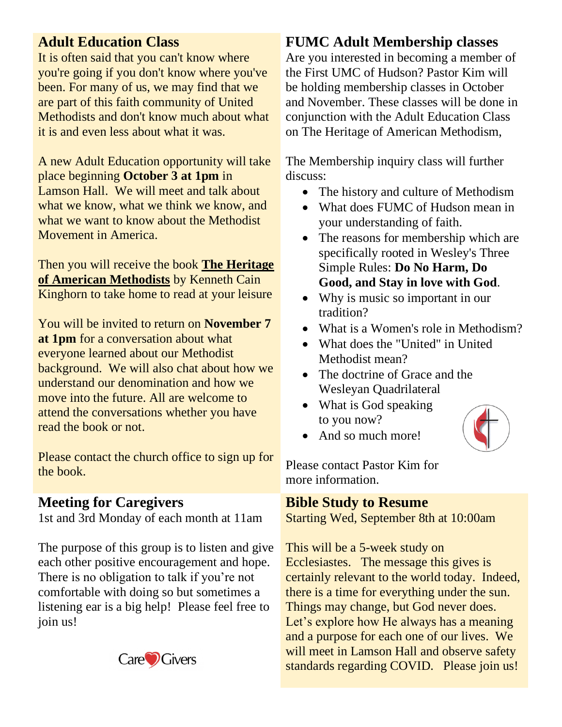#### **Adult Education Class**

It is often said that you can't know where you're going if you don't know where you've been. For many of us, we may find that we are part of this faith community of United Methodists and don't know much about what it is and even less about what it was.

A new Adult Education opportunity will take place beginning **October 3 at 1pm** in Lamson Hall. We will meet and talk about what we know, what we think we know, and what we want to know about the Methodist Movement in America.

Then you will receive the book **The Heritage of American Methodists** by Kenneth Cain Kinghorn to take home to read at your leisure

You will be invited to return on **November 7 at 1pm** for a conversation about what everyone learned about our Methodist background. We will also chat about how we understand our denomination and how we move into the future. All are welcome to attend the conversations whether you have read the book or not.

Please contact the church office to sign up for the book.

#### **Meeting for Caregivers**

1st and 3rd Monday of each month at 11am

The purpose of this group is to listen and give each other positive encouragement and hope. There is no obligation to talk if you're not comfortable with doing so but sometimes a listening ear is a big help! Please feel free to join us!



#### **FUMC Adult Membership classes**

Are you interested in becoming a member of the First UMC of Hudson? Pastor Kim will be holding membership classes in October and November. These classes will be done in conjunction with the Adult Education Class on The Heritage of American Methodism,

The Membership inquiry class will further discuss:

- The history and culture of Methodism
- What does FUMC of Hudson mean in your understanding of faith.
- The reasons for membership which are specifically rooted in Wesley's Three Simple Rules: **Do No Harm, Do Good, and Stay in love with God**.
- Why is music so important in our tradition?
- What is a Women's role in Methodism?
- What does the "United" in United Methodist mean?
- The doctrine of Grace and the Wesleyan Quadrilateral
- What is God speaking to you now?



• And so much more!

Please contact Pastor Kim for more information.

#### **Bible Study to Resume**

Starting Wed, September 8th at 10:00am

This will be a 5-week study on Ecclesiastes. The message this gives is certainly relevant to the world today. Indeed, there is a time for everything under the sun. Things may change, but God never does. Let's explore how He always has a meaning and a purpose for each one of our lives. We will meet in Lamson Hall and observe safety standards regarding COVID. Please join us!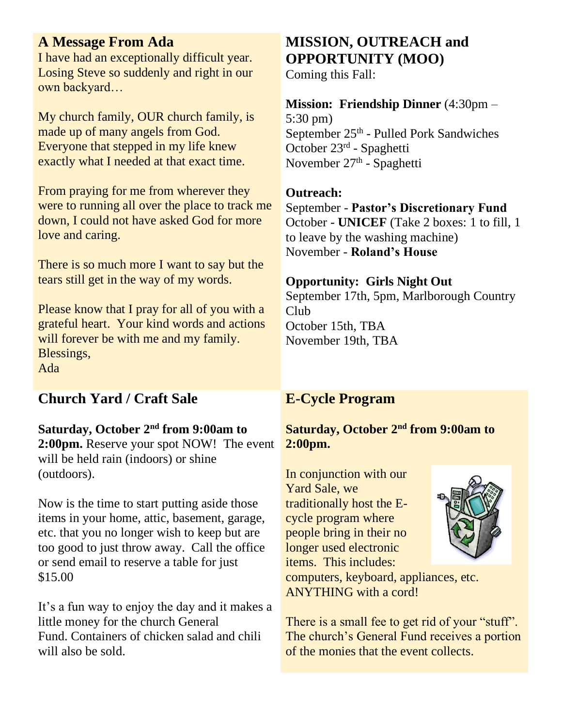#### **A Message From Ada**

I have had an exceptionally difficult year. Losing Steve so suddenly and right in our own backyard…

My church family, OUR church family, is made up of many angels from God. Everyone that stepped in my life knew exactly what I needed at that exact time.

From praying for me from wherever they were to running all over the place to track me down, I could not have asked God for more love and caring.

There is so much more I want to say but the tears still get in the way of my words.

Please know that I pray for all of you with a grateful heart. Your kind words and actions will forever be with me and my family. Blessings, Ada

#### **Church Yard / Craft Sale**

## **Saturday, October 2nd from 9:00am to**

**2:00pm.** Reserve your spot NOW! The event will be held rain (indoors) or shine (outdoors).

Now is the time to start putting aside those items in your home, attic, basement, garage, etc. that you no longer wish to keep but are too good to just throw away. Call the office or send email to reserve a table for just \$15.00

It's a fun way to enjoy the day and it makes a little money for the church General Fund. Containers of chicken salad and chili will also be sold.

# **MISSION, OUTREACH and OPPORTUNITY (MOO)**

Coming this Fall:

#### **Mission: Friendship Dinner** (4:30pm – 5:30 pm) September 25<sup>th</sup> - Pulled Pork Sandwiches October 23rd - Spaghetti November 27<sup>th</sup> - Spaghetti

# **Outreach:**

September - **Pastor's Discretionary Fund** October - **UNICEF** (Take 2 boxes: 1 to fill, 1 to leave by the washing machine) November - **Roland's House**

#### **Opportunity: Girls Night Out**

September 17th, 5pm, Marlborough Country Club October 15th, TBA November 19th, TBA

#### **E-Cycle Program**

#### **Saturday, October 2nd from 9:00am to 2:00pm.**

In conjunction with our Yard Sale, we traditionally host the Ecycle program where people bring in their no longer used electronic items. This includes:



computers, keyboard, appliances, etc. ANYTHING with a cord!

There is a small fee to get rid of your "stuff". The church's General Fund receives a portion of the monies that the event collects.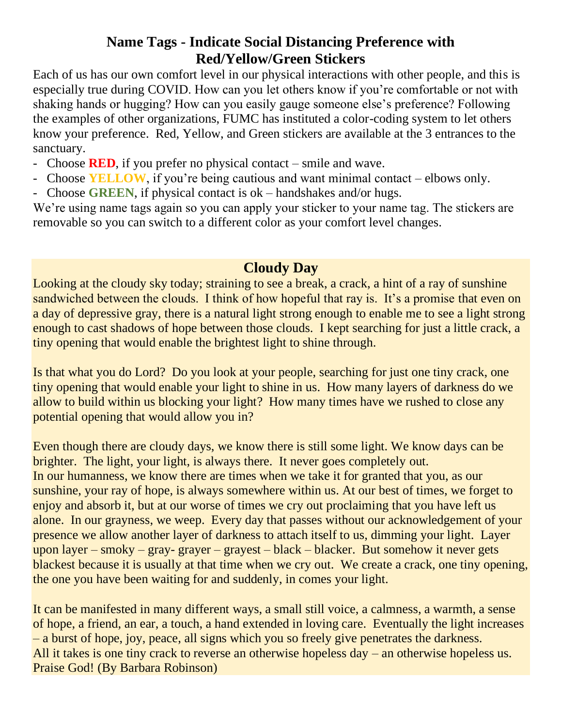#### **Name Tags - Indicate Social Distancing Preference with Red/Yellow/Green Stickers**

Each of us has our own comfort level in our physical interactions with other people, and this is especially true during COVID. How can you let others know if you're comfortable or not with shaking hands or hugging? How can you easily gauge someone else's preference? Following the examples of other organizations, FUMC has instituted a color-coding system to let others know your preference. Red, Yellow, and Green stickers are available at the 3 entrances to the sanctuary.

- Choose **RED**, if you prefer no physical contact smile and wave.
- Choose **YELLOW**, if you're being cautious and want minimal contact elbows only.
- Choose **GREEN**, if physical contact is ok handshakes and/or hugs.

We're using name tags again so you can apply your sticker to your name tag. The stickers are removable so you can switch to a different color as your comfort level changes.

#### **Cloudy Day**

Looking at the cloudy sky today; straining to see a break, a crack, a hint of a ray of sunshine sandwiched between the clouds. I think of how hopeful that ray is. It's a promise that even on a day of depressive gray, there is a natural light strong enough to enable me to see a light strong enough to cast shadows of hope between those clouds. I kept searching for just a little crack, a tiny opening that would enable the brightest light to shine through.

Is that what you do Lord? Do you look at your people, searching for just one tiny crack, one tiny opening that would enable your light to shine in us. How many layers of darkness do we allow to build within us blocking your light? How many times have we rushed to close any potential opening that would allow you in?

Even though there are cloudy days, we know there is still some light. We know days can be brighter. The light, your light, is always there. It never goes completely out. In our humanness, we know there are times when we take it for granted that you, as our sunshine, your ray of hope, is always somewhere within us. At our best of times, we forget to enjoy and absorb it, but at our worse of times we cry out proclaiming that you have left us alone. In our grayness, we weep. Every day that passes without our acknowledgement of your presence we allow another layer of darkness to attach itself to us, dimming your light. Layer upon layer – smoky – gray- grayer – grayest – black – blacker. But somehow it never gets blackest because it is usually at that time when we cry out. We create a crack, one tiny opening, the one you have been waiting for and suddenly, in comes your light.

It can be manifested in many different ways, a small still voice, a calmness, a warmth, a sense of hope, a friend, an ear, a touch, a hand extended in loving care. Eventually the light increases – a burst of hope, joy, peace, all signs which you so freely give penetrates the darkness. All it takes is one tiny crack to reverse an otherwise hopeless day – an otherwise hopeless us. Praise God! (By Barbara Robinson)